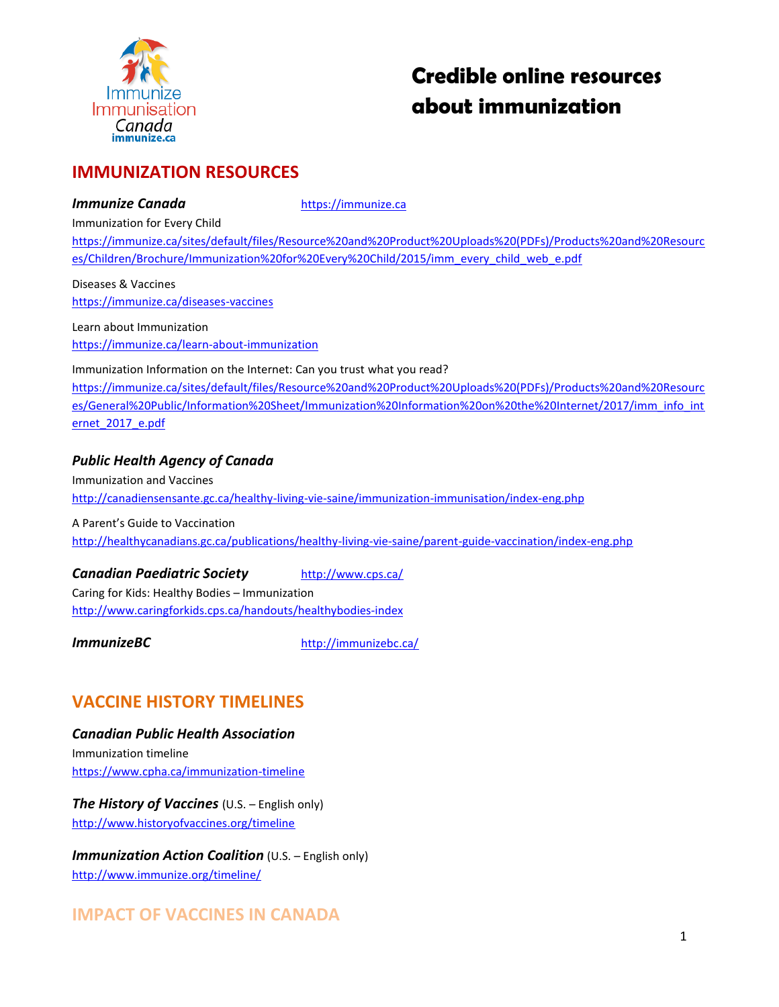

# **Credible online resources about immunization**

# **IMMUNIZATION RESOURCES**

#### **Immunize Canada** [https://immunize.ca](https://immunize.ca/)

Immunization for Every Child

[https://immunize.ca/sites/default/files/Resource%20and%20Product%20Uploads%20\(PDFs\)/Products%20and%20Resourc](https://immunize.ca/sites/default/files/Resource%20and%20Product%20Uploads%20(PDFs)/Products%20and%20Resources/Children/Brochure/Immunization%20for%20Every%20Child/2015/imm_every_child_web_e.pdf) [es/Children/Brochure/Immunization%20for%20Every%20Child/2015/imm\\_every\\_child\\_web\\_e.pdf](https://immunize.ca/sites/default/files/Resource%20and%20Product%20Uploads%20(PDFs)/Products%20and%20Resources/Children/Brochure/Immunization%20for%20Every%20Child/2015/imm_every_child_web_e.pdf)

Diseases & Vaccines <https://immunize.ca/diseases-vaccines>

Learn about Immunization <https://immunize.ca/learn-about-immunization>

Immunization Information on the Internet: Can you trust what you read?

[https://immunize.ca/sites/default/files/Resource%20and%20Product%20Uploads%20\(PDFs\)/Products%20and%20Resourc](https://immunize.ca/sites/default/files/Resource%20and%20Product%20Uploads%20(PDFs)/Products%20and%20Resources/General%20Public/Information%20Sheet/Immunization%20Information%20on%20the%20Internet/2017/imm_info_internet_2017_e.pdf) [es/General%20Public/Information%20Sheet/Immunization%20Information%20on%20the%20Internet/2017/imm\\_info\\_int](https://immunize.ca/sites/default/files/Resource%20and%20Product%20Uploads%20(PDFs)/Products%20and%20Resources/General%20Public/Information%20Sheet/Immunization%20Information%20on%20the%20Internet/2017/imm_info_internet_2017_e.pdf) [ernet\\_2017\\_e.pdf](https://immunize.ca/sites/default/files/Resource%20and%20Product%20Uploads%20(PDFs)/Products%20and%20Resources/General%20Public/Information%20Sheet/Immunization%20Information%20on%20the%20Internet/2017/imm_info_internet_2017_e.pdf)

### *Public Health Agency of Canada*

Immunization and Vaccines <http://canadiensensante.gc.ca/healthy-living-vie-saine/immunization-immunisation/index-eng.php>

A Parent's Guide to Vaccination <http://healthycanadians.gc.ca/publications/healthy-living-vie-saine/parent-guide-vaccination/index-eng.php>

### **Canadian Paediatric Society** <http://www.cps.ca/>

Caring for Kids: Healthy Bodies – Immunization <http://www.caringforkids.cps.ca/handouts/healthybodies-index>

**ImmunizeBC** <http://immunizebc.ca/>

# **VACCINE HISTORY TIMELINES**

*Canadian Public Health Association* Immunization timeline <https://www.cpha.ca/immunization-timeline>

*The History of Vaccines* (U.S. – English only) <http://www.historyofvaccines.org/timeline>

*Immunization Action Coalition* (U.S. – English only) <http://www.immunize.org/timeline/>

# **IMPACT OF VACCINES IN CANADA**